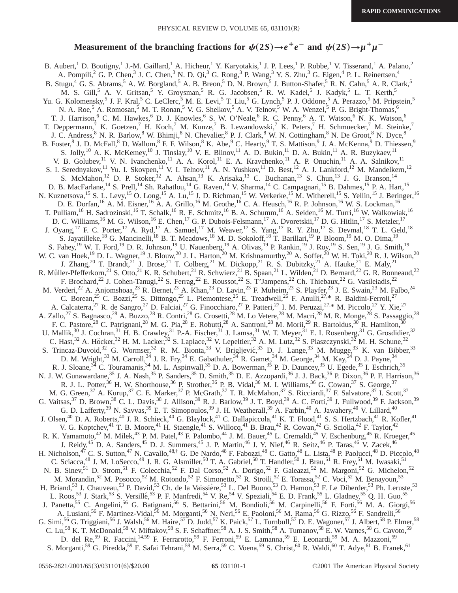## **Measurement of the branching fractions for**  $\psi(2S) \rightarrow e^+e^-$  **and**  $\psi(2S) \rightarrow \mu^+\mu^-$

B. Aubert,<sup>1</sup> D. Boutigny,<sup>1</sup> J.-M. Gaillard,<sup>1</sup> A. Hicheur,<sup>1</sup> Y. Karyotakis,<sup>1</sup> J. P. Lees,<sup>1</sup> P. Robbe,<sup>1</sup> V. Tisserand,<sup>1</sup> A. Palano,<sup>2</sup> A. Pompili,<sup>2</sup> G. P. Chen,<sup>3</sup> J. C. Chen,<sup>3</sup> N. D. Qi,<sup>3</sup> G. Rong,<sup>3</sup> P. Wang,<sup>3</sup> Y. S. Zhu,<sup>3</sup> G. Eigen,<sup>4</sup> P. L. Reinertsen,<sup>4</sup> B. Stugu,  $4\,$  G. S. Abrams,  $5\,$  A. W. Borgland,  $5\,$  A. B. Breon,  $5\,$  D. N. Brown,  $5\,$  J. Button-Shafer,  $5\,$  R. N. Cahn,  $5\,$  A. R. Clark,  $5\,$ M. S. Gill,<sup>5</sup> A. V. Gritsan,<sup>5</sup> Y. Groysman,<sup>5</sup> R. G. Jacobsen,<sup>5</sup> R. W. Kadel,<sup>5</sup> J. Kadyk,<sup>5</sup> L. T. Kerth,<sup>5</sup> Yu. G. Kolomensky,<sup>5</sup> J. F. Kral,<sup>5</sup> C. LeClerc,<sup>5</sup> M. E. Levi,<sup>5</sup> T. Liu,<sup>5</sup> G. Lynch,<sup>5</sup> P. J. Oddone,<sup>5</sup> A. Perazzo,<sup>5</sup> M. Pripstein,<sup>5</sup> N. A. Roe,<sup>5</sup> A. Romosan,<sup>5</sup> M. T. Ronan,<sup>5</sup> V. G. Shelkov,<sup>5</sup> A. V. Telnov,<sup>5</sup> W. A. Wenzel,<sup>5</sup> P. G. Bright-Thomas,<sup>6</sup> T. J. Harrison,<sup>6</sup> C. M. Hawkes,<sup>6</sup> D. J. Knowles,<sup>6</sup> S. W. O'Neale,<sup>6</sup> R. C. Penny,<sup>6</sup> A. T. Watson,<sup>6</sup> N. K. Watson,<sup>6</sup> T. Deppermann,<sup>7</sup> K. Goetzen,<sup>7</sup> H. Koch,<sup>7</sup> M. Kunze,<sup>7</sup> B. Lewandowski,<sup>7</sup> K. Peters,<sup>7</sup> H. Schmuecker,<sup>7</sup> M. Steinke,<sup>7</sup> J. C. Andress,<sup>8</sup> N. R. Barlow,<sup>8</sup> W. Bhimji,<sup>8</sup> N. Chevalier,<sup>8</sup> P. J. Clark,<sup>8</sup> W. N. Cottingham,<sup>8</sup> N. De Groot,<sup>8</sup> N. Dyce,<sup>8</sup> B. Foster, <sup>8</sup> J. D. McFall, <sup>8</sup> D. Wallom, <sup>8</sup> F. F. Wilson, <sup>8</sup> K. Abe, <sup>9</sup> C. Hearty, <sup>9</sup> T. S. Mattison, <sup>9</sup> J. A. McKenna, <sup>9</sup> D. Thiessen, <sup>9</sup> S. Jolly,<sup>10</sup> A. K. McKemey,<sup>10</sup> J. Tinslay,<sup>10</sup> V. E. Blinov,<sup>11</sup> A. D. Bukin,<sup>11</sup> D. A. Bukin,<sup>11</sup> A. R. Buzykaev,<sup>11</sup> V. B. Golubev,<sup>11</sup> V. N. Ivanchenko,<sup>11</sup> A. A. Korol,<sup>11</sup> E. A. Kravchenko,<sup>11</sup> A. P. Onuchin,<sup>11</sup> A. A. Salnikov,<sup>11</sup> S. I. Serednyakov,<sup>11</sup> Yu. I. Skovpen,<sup>11</sup> V. I. Telnov,<sup>11</sup> A. N. Yushkov,<sup>11</sup> D. Best,<sup>12</sup> A. J. Lankford,<sup>12</sup> M. Mandelkern,<sup>12</sup> S. McMahon,<sup>12</sup> D. P. Stoker,<sup>12</sup> A. Ahsan,<sup>13</sup> K. Arisaka,<sup>13</sup> C. Buchanan,<sup>13</sup> S. Chun,<sup>13</sup> J. G. Branson,<sup>14</sup> D. B. MacFarlane,<sup>14</sup> S. Prell,<sup>14</sup> Sh. Rahatlou,<sup>14</sup> G. Raven,<sup>14</sup> V. Sharma,<sup>14</sup> C. Campagnari,<sup>15</sup> B. Dahmes,<sup>15</sup> P. A. Hart,<sup>15</sup> N. Kuznetsova,<sup>15</sup> S. L. Levy,<sup>15</sup> O. Long,<sup>15</sup> A. Lu,<sup>15</sup> J. D. Richman,<sup>15</sup> W. Verkerke,<sup>15</sup> M. Witherell,<sup>15</sup> S. Yellin,<sup>15</sup> J. Beringer,<sup>16</sup> D. E. Dorfan,<sup>16</sup> A. M. Eisner,<sup>16</sup> A. A. Grillo,<sup>16</sup> M. Grothe,<sup>16</sup> C. A. Heusch,<sup>16</sup> R. P. Johnson,<sup>16</sup> W. S. Lockman,<sup>16</sup> T. Pulliam,<sup>16</sup> H. Sadrozinski,<sup>16</sup> T. Schalk,<sup>16</sup> R. E. Schmitz,<sup>16</sup> B. A. Schumm,<sup>16</sup> A. Seiden,<sup>16</sup> M. Turri,<sup>16</sup> W. Walkowiak,<sup>16</sup> D. C. Williams,<sup>16</sup> M. G. Wilson,<sup>16</sup> E. Chen,<sup>17</sup> G. P. Dubois-Felsmann,<sup>17</sup> A. Dvoretskii,<sup>17</sup> D. G. Hitlin,<sup>17</sup> S. Metzler,<sup>17</sup> J. Oyang,<sup>17</sup> F. C. Porter,<sup>17</sup> A. Ryd,<sup>17</sup> A. Samuel,<sup>17</sup> M. Weaver,<sup>17</sup> S. Yang,<sup>17</sup> R. Y. Zhu,<sup>17</sup> S. Devmal,<sup>18</sup> T. L. Geld,<sup>18</sup> S. Jayatilleke,<sup>18</sup> G. Mancinelli,<sup>18</sup> B. T. Meadows,<sup>18</sup> M. D. Sokoloff,<sup>18</sup> T. Barillari,<sup>19</sup> P. Bloom,<sup>19</sup> M. O. Dima,<sup>19</sup> S. Fahey,<sup>19</sup> W. T. Ford,<sup>19</sup> D. R. Johnson,<sup>19</sup> U. Nauenberg,<sup>19</sup> A. Olivas,<sup>19</sup> P. Rankin,<sup>19</sup> J. Roy,<sup>19</sup> S. Sen,<sup>19</sup> J. G. Smith,<sup>19</sup> W. C. van Hoek,<sup>19</sup> D. L. Wagner,<sup>19</sup> J. Blouw,<sup>20</sup> J. L. Harton,<sup>20</sup> M. Krishnamurthy,<sup>20</sup> A. Soffer,<sup>20</sup> W. H. Toki,<sup>20</sup> R. J. Wilson,<sup>20</sup> J. Zhang,<sup>20</sup> T. Brandt,<sup>21</sup> J. Brose,<sup>21</sup> T. Colberg,<sup>21</sup> M. Dickopp,<sup>21</sup> R. S. Dubitzky,<sup>21</sup> A. Hauke,<sup>21</sup> E. Maly,<sup>21</sup> R. Müller-Pfefferkorn,<sup>21</sup> S. Otto,<sup>21</sup> K. R. Schubert,<sup>21</sup> R. Schwierz,<sup>21</sup> B. Spaan,<sup>21</sup> L. Wilden,<sup>21</sup> D. Bernard,<sup>22</sup> G. R. Bonneaud,<sup>22</sup> F. Brochard,<sup>22</sup> J. Cohen-Tanugi,<sup>22</sup> S. Ferrag,<sup>22</sup> E. Roussot,<sup>22</sup> S. T'Jampens,<sup>22</sup> Ch. Thiebaux,<sup>22</sup> G. Vasileiadis,<sup>22</sup> M. Verderi,<sup>22</sup> A. Anjomshoaa,<sup>23</sup> R. Bernet,<sup>23</sup> A. Khan,<sup>23</sup> D. Lavin,<sup>23</sup> F. Muheim,<sup>23</sup> S. Playfer,<sup>23</sup> J. E. Swain,<sup>23</sup> M. Falbo,<sup>24</sup> C. Borean,<sup>25</sup> C. Bozzi,<sup>25</sup> S. Dittongo,<sup>25</sup> L. Piemontese,<sup>25</sup> E. Treadwell,<sup>26</sup> F. Anulli,<sup>27,\*</sup> R. Baldini-Ferroli,<sup>27</sup> A. Calcaterra,<sup>27</sup> R. de Sangro,<sup>27</sup> D. Falciai,<sup>27</sup> G. Finocchiaro,<sup>27</sup> P. Patteri,<sup>27</sup> I. M. Peruzzi,<sup>27,\*</sup> M. Piccolo,<sup>27</sup> Y. Xie,<sup>27</sup> A. Zallo,<sup>27</sup> S. Bagnasco,<sup>28</sup> A. Buzzo,<sup>28</sup> R. Contri,<sup>28</sup> G. Crosetti,<sup>28</sup> M. Lo Vetere,<sup>28</sup> M. Macri,<sup>28</sup> M. R. Monge,<sup>28</sup> S. Passaggio,<sup>28</sup> F. C. Pastore,<sup>28</sup> C. Patrignani,<sup>28</sup> M. G. Pia,<sup>28</sup> E. Robutti,<sup>28</sup> A. Santroni,<sup>28</sup> M. Morii,<sup>29</sup> R. Bartoldus,<sup>30</sup> R. Hamilton,<sup>30</sup> U. Mallik,<sup>30</sup> J. Cochran,<sup>31</sup> H. B. Crawley,<sup>31</sup> P.-A. Fischer,<sup>31</sup> J. Lamsa,<sup>31</sup> W. T. Meyer,<sup>31</sup> E. I. Rosenberg,<sup>31</sup> G. Grosdidier,<sup>32</sup> C. Hast,<sup>32</sup> A. Höcker,<sup>32</sup> H. M. Lacker,<sup>32</sup> S. Laplace,<sup>32</sup> V. Lepeltier,<sup>32</sup> A. M. Lutz,<sup>32</sup> S. Plaszczynski,<sup>32</sup> M. H. Schune,<sup>32</sup> S. Trincaz-Duvoid,<sup>32</sup> G. Wormser,<sup>32</sup> R. M. Bionta,<sup>33</sup> V. Brigljević,<sup>33</sup> D. J. Lange,<sup>33</sup> M. Mugge,<sup>33</sup> K. van Bibber,<sup>33</sup> D. M. Wright,<sup>33</sup> M. Carroll,<sup>34</sup> J. R. Fry,<sup>34</sup> E. Gabathuler,<sup>34</sup> R. Gamet,<sup>34</sup> M. George,<sup>34</sup> M. Kay,<sup>34</sup> D. J. Payne,<sup>34</sup> R. J. Sloane,  $34$  C. Touramanis,  $34$  M. L. Aspinwall,  $35$  D. A. Bowerman,  $35$  P. D. Dauncey,  $35$  U. Egede,  $35$  I. Eschrich,  $35$ N. J. W. Gunawardane,<sup>35</sup> J. A. Nash,<sup>35</sup> P. Sanders,<sup>35</sup> D. Smith,<sup>35</sup> D. E. Azzopardi,<sup>36</sup> J. J. Back,<sup>36</sup> P. Dixon,<sup>36</sup> P. F. Harrison,<sup>36</sup> R. J. L. Potter,<sup>36</sup> H. W. Shorthouse,<sup>36</sup> P. Strother,<sup>36</sup> P. B. Vidal,<sup>36</sup> M. I. Williams,<sup>36</sup> G. Cowan,<sup>37</sup> S. George,<sup>37</sup> M. G. Green,<sup>37</sup> A. Kurup,<sup>37</sup> C. E. Marker,<sup>37</sup> P. McGrath,<sup>37</sup> T. R. McMahon,<sup>37</sup> S. Ricciardi,<sup>37</sup> F. Salvatore,<sup>37</sup> I. Scott,<sup>37</sup> G. Vaitsas,<sup>37</sup> D. Brown,<sup>38</sup> C. L. Davis,<sup>38</sup> J. Allison,<sup>39</sup> R. J. Barlow,<sup>39</sup> J. T. Boyd,<sup>39</sup> A. C. Forti,<sup>39</sup> J. Fullwood,<sup>39</sup> F. Jackson,<sup>39</sup> G. D. Lafferty,  $39$  N. Savvas,  $39$  E. T. Simopoulos,  $39$  J. H. Weatherall,  $39$  A. Farbin,  $40$  A. Jawahery,  $40$  V. Lillard,  $40$ J. Olsen,<sup>40</sup> D. A. Roberts,<sup>40</sup> J. R. Schieck,<sup>40</sup> G. Blaylock,<sup>41</sup> C. Dallapiccola,<sup>41</sup> K. T. Flood,<sup>41</sup> S. S. Hertzbach,<sup>41</sup> R. Kofler,<sup>41</sup> V. G. Koptchev,<sup>41</sup> T. B. Moore,<sup>41</sup> H. Staengle,<sup>41</sup> S. Willocq,<sup>41</sup> B. Brau,<sup>42</sup> R. Cowan,<sup>42</sup> G. Sciolla,<sup>42</sup> F. Taylor,<sup>42</sup> R. K. Yamamoto,<sup>42</sup> M. Milek,<sup>43</sup> P. M. Patel,<sup>43</sup> F. Palombo,<sup>44</sup> J. M. Bauer,<sup>45</sup> L. Cremaldi,<sup>45</sup> V. Eschenburg,<sup>45</sup> R. Kroeger,<sup>45</sup> J. Reidy,<sup>45</sup> D. A. Sanders,<sup>45</sup> D. J. Summers,<sup>45</sup> J. P. Martin,<sup>46</sup> J. Y. Nief,<sup>46</sup> R. Seitz,<sup>46</sup> P. Taras,<sup>46</sup> V. Zacek,<sup>46</sup> H. Nicholson,<sup>47</sup> C. S. Sutton,<sup>47</sup> N. Cavallo,<sup>48,†</sup> G. De Nardo,<sup>48</sup> F. Fabozzi,<sup>48</sup> C. Gatto,<sup>48</sup> L. Lista,<sup>48</sup> P. Paolucci,<sup>48</sup> D. Piccolo,<sup>48</sup> C. Sciacca,<sup>48</sup> J. M. LoSecco,<sup>49</sup> J. R. G. Alsmiller,<sup>50</sup> T. A. Gabriel,<sup>50</sup> T. Handler,<sup>50</sup> J. Brau,<sup>51</sup> R. Frey,<sup>51</sup> M. Iwasaki,<sup>51</sup> N. B. Sinev,<sup>51</sup> D. Strom,<sup>51</sup> F. Colecchia,<sup>52</sup> F. Dal Corso,<sup>52</sup> A. Dorigo,<sup>52</sup> F. Galeazzi,<sup>52</sup> M. Margoni,<sup>52</sup> G. Michelon,<sup>52</sup> M. Morandin,<sup>52</sup> M. Posocco,<sup>52</sup> M. Rotondo,<sup>52</sup> F. Simonetto,<sup>52</sup> R. Stroili,<sup>52</sup> E. Torassa,<sup>52</sup> C. Voci,<sup>52</sup> M. Benayoun,<sup>53</sup> H. Briand,<sup>53</sup> J. Chauveau,<sup>53</sup> P. David,<sup>53</sup> Ch. de la Vaissière,<sup>53</sup> L. Del Buono,<sup>53</sup> O. Hamon,<sup>53</sup> F. Le Diberder,<sup>53</sup> Ph. Leruste,<sup>53</sup> L. Roos,<sup>53</sup> J. Stark,<sup>53</sup> S. Versillé,<sup>53</sup> P. F. Manfredi,<sup>54</sup> V. Re,<sup>54</sup> V. Speziali,<sup>54</sup> E. D. Frank,<sup>55</sup> L. Gladney,<sup>55</sup> Q. H. Guo,<sup>55</sup> J. Panetta,<sup>55</sup> C. Angelini,<sup>56</sup> G. Batignani,<sup>56</sup> S. Bettarini,<sup>56</sup> M. Bondioli,<sup>56</sup> M. Carpinelli,<sup>56</sup> F. Forti,<sup>56</sup> M. A. Giorgi,<sup>56</sup> A. Lusiani,<sup>56</sup> F. Martinez-Vidal,<sup>56</sup> M. Morganti,<sup>56</sup> N. Neri,<sup>56</sup> E. Paoloni,<sup>56</sup> M. Rama,<sup>56</sup> G. Rizzo,<sup>56</sup> F. Sandrelli,<sup>56</sup> G. Simi,<sup>56</sup> G. Triggiani,<sup>56</sup> J. Walsh,<sup>56</sup> M. Haire,<sup>57</sup> D. Judd,<sup>57</sup> K. Paick,<sup>57</sup> L. Turnbull,<sup>57</sup> D. E. Wagoner,<sup>57</sup> J. Albert,<sup>58</sup> P. Elmer,<sup>58</sup> C. Lu,<sup>58</sup> K. T. McDonald,<sup>58</sup> V. Miftakov,<sup>58</sup> S. F. Schaffner,<sup>58</sup> A. J. S. Smith,<sup>58</sup> A. Tumanov,<sup>58</sup> E. W. Varnes,<sup>58</sup> G. Cavoto,<sup>59</sup> D. del Re,<sup>59</sup> R. Faccini,<sup>14,59</sup> F. Ferrarotto,<sup>59</sup> F. Ferroni,<sup>59</sup> E. Lamanna,<sup>59</sup> E. Leonardi,<sup>59</sup> M. A. Mazzoni,<sup>59</sup> S. Morganti,<sup>59</sup> G. Piredda,<sup>59</sup> F. Safai Tehrani,<sup>59</sup> M. Serra,<sup>59</sup> C. Voena,<sup>59</sup> S. Christ,<sup>60</sup> R. Waldi,<sup>60</sup> T. Adye,<sup>61</sup> B. Franek,<sup>61</sup>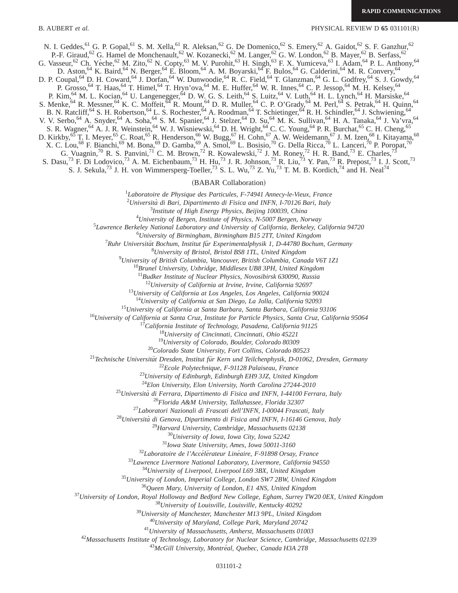B. AUBERT *et al.* PHYSICAL REVIEW D 65 031101(R)

N. I. Geddes, <sup>61</sup> G. P. Gopal, <sup>61</sup> S. M. Xella, <sup>61</sup> R. Aleksan, <sup>62</sup> G. De Domenico, <sup>62</sup> S. Emery, <sup>62</sup> A. Gaidot, <sup>62</sup> S. F. Ganzhur, <sup>62</sup>

P.-F. Giraud, <sup>62</sup> G. Hamel de Monchenault, <sup>62</sup> W. Kozanecki, <sup>62</sup> M. Langer, <sup>62</sup> G. W. London, <sup>62</sup> B. Mayer, <sup>62</sup> B. Serfass, <sup>62</sup>

G. Vasseur,<sup>62</sup> Ch. Yèche,<sup>62</sup> M. Zito,<sup>62</sup> N. Copty,<sup>63</sup> M. V. Purohit,<sup>63</sup> H. Singh,<sup>63</sup> F. X. Yumiceva,<sup>63</sup> I. Adam,<sup>64</sup> P. L. Anthony,<sup>64</sup>

D. Aston,<sup>64</sup> K. Baird,<sup>64</sup> N. Berger,<sup>64</sup> E. Bloom,<sup>64</sup> A. M. Boyarski,<sup>64</sup> F. Bulos,<sup>64</sup> G. Calderini,<sup>64</sup> M. R. Convery,<sup>64</sup>

D. P. Coupal,<sup>64</sup> D. H. Coward,<sup>64</sup> J. Dorfan,<sup>64</sup> W. Dunwoodie,<sup>64</sup> R. C. Field,<sup>64</sup> T. Glanzman,<sup>64</sup> G. L. Godfrey,<sup>64</sup> S. J. Gowdy,<sup>64</sup> P. Grosso,  $^{64}$  T. Haas,  $^{64}$  T. Himel,  $^{64}$  T. Hryn'ova,  $^{64}$  M. E. Huffer,  $^{64}$  W. R. Innes,  $^{64}$  C. P. Jessop,  $^{64}$  M. H. Kelsey,  $^{64}$ 

P. Kim, <sup>64</sup> M. L. Kocian, <sup>64</sup> U. Langenegger, <sup>64</sup> D. W. G. S. Leith, <sup>64</sup> S. Luitz, <sup>64</sup> V. Luth, <sup>64</sup> H. L. Lynch, <sup>64</sup> H. Marsiske, <sup>64</sup>

S. Menke, <sup>64</sup> R. Messner, <sup>64</sup> K. C. Moffeit, <sup>64</sup> R. Mount, <sup>64</sup> D. R. Muller, <sup>64</sup> C. P. O'Grady, <sup>64</sup> M. Perl, <sup>64</sup> S. Petrak, <sup>64</sup> H. Quinn, <sup>64</sup>

B. N. Ratcliff,<sup>64</sup> S. H. Robertson,<sup>64</sup> L. S. Rochester,<sup>64</sup> A. Roodman,<sup>64</sup> T. Schietinger,<sup>64</sup> R. H. Schindler,<sup>64</sup> J. Schwiening,<sup>64</sup>

V. V. Serbo, <sup>64</sup> A. Snyder, <sup>64</sup> A. Soha, <sup>64</sup> S. M. Spanier, <sup>64</sup> J. Stelzer, <sup>64</sup> D. Su, <sup>64</sup> M. K. Sullivan, <sup>64</sup> H. A. Tanaka, <sup>64</sup> J. Va'vra, <sup>64</sup>

S. R. Wagner,<sup>64</sup> A. J. R. Weinstein,<sup>64</sup> W. J. Wisniewski,<sup>64</sup> D. H. Wright,<sup>64</sup> C. C. Young,<sup>64</sup> P. R. Burchat,<sup>65</sup> C. H. Cheng,<sup>65</sup>

D. Kirkby,<sup>65</sup> T. I. Meyer,<sup>65</sup> C. Roat,<sup>65</sup> R. Henderson,<sup>66</sup> W. Bugg,<sup>67</sup> H. Cohn,<sup>67</sup> A. W. Weidemann,<sup>67</sup> J. M. Izen,<sup>68</sup> I. Kitayama,<sup>68</sup>

X. C. Lou,<sup>68</sup> F. Bianchi,<sup>69</sup> M. Bona,<sup>69</sup> D. Gamba,<sup>69</sup> A. Smol,<sup>69</sup> L. Bosisio,<sup>70</sup> G. Della Ricca,<sup>70</sup> L. Lanceri,<sup>70</sup> P. Poropat,<sup>70</sup>

G. Vuagnin,<sup>70</sup> R. S. Panvini,<sup>71</sup> C. M. Brown,<sup>72</sup> R. Kowalewski,<sup>72</sup> J. M. Roney,<sup>72</sup> H. R. Band,<sup>73</sup> E. Charles,<sup>73</sup>

S. Dasu,<sup>73</sup> F. Di Lodovico,<sup>73</sup> A. M. Eichenbaum,<sup>73</sup> H. Hu,<sup>73</sup> J. R. Johnson,<sup>73</sup> R. Liu,<sup>73</sup> Y. Pan,<sup>73</sup> R. Prepost,<sup>73</sup> I. J. Scott,<sup>73</sup>

S. J. Sekula,<sup>73</sup> J. H. von Wimmersperg-Toeller,<sup>73</sup> S. L. Wu,<sup>73</sup> Z. Yu,<sup>73</sup> T. M. B. Kordich,<sup>74</sup> and H. Neal<sup>74</sup>

(BABAR Collaboration)

*Laboratoire de Physique des Particules, F-74941 Annecy-le-Vieux, France*

*Universita` di Bari, Dipartimento di Fisica and INFN, I-70126 Bari, Italy*

*Institute of High Energy Physics, Beijing 100039, China*

*University of Bergen, Institute of Physics, N-5007 Bergen, Norway*

*Lawrence Berkeley National Laboratory and University of California, Berkeley, California 94720*

*University of Birmingham, Birmingham B15 2TT, United Kingdom*

<sup>7</sup> Ruhr Universität Bochum, Institut für Experimentalphysik 1, D-44780 Bochum, Germany

*University of Bristol, Bristol BS8 1TL, United Kingdom*

*University of British Columbia, Vancouver, British Columbia, Canada V6T 1Z1*

*Brunel University, Uxbridge, Middlesex UB8 3PH, United Kingdom*

*Budker Institute of Nuclear Physics, Novosibirsk 630090, Russia*

*University of California at Irvine, Irvine, California 92697*

*University of California at Los Angeles, Los Angeles, California 90024*

*University of California at San Diego, La Jolla, California 92093*

*University of California at Santa Barbara, Santa Barbara, California 93106*

*University of California at Santa Cruz, Institute for Particle Physics, Santa Cruz, California 95064*

*California Institute of Technology, Pasadena, California 91125*

*University of Cincinnati, Cincinnati, Ohio 45221*

*University of Colorado, Boulder, Colorado 80309*

*Colorado State University, Fort Collins, Colorado 80523*

<sup>21</sup>Technische Universität Dresden, Institut für Kern und Teilchenphysik, D-01062, Dresden, Germany

*Ecole Polytechnique, F-91128 Palaiseau, France*

*University of Edinburgh, Edinburgh EH9 3JZ, United Kingdom*

*Elon University, Elon University, North Carolina 27244-2010*

*Universita` di Ferrara, Dipartimento di Fisica and INFN, I-44100 Ferrara, Italy*

*Florida A&M University, Tallahassee, Florida 32307*

*Laboratori Nazionali di Frascati dell'INFN, I-00044 Frascati, Italy*

*Universita` di Genova, Dipartimento di Fisica and INFN, I-16146 Genova, Italy*

*Harvard University, Cambridge, Massachusetts 02138*

*University of Iowa, Iowa City, Iowa 52242*

*Iowa State University, Ames, Iowa 50011-3160*

<sup>32</sup>Laboratoire de l'Accélérateur Linéaire, F-91898 Orsay, France

*Lawrence Livermore National Laboratory, Livermore, California 94550*

*University of Liverpool, Liverpool L69 3BX, United Kingdom*

*University of London, Imperial College, London SW7 2BW, United Kingdom*

*Queen Mary, University of London, E1 4NS, United Kingdom*

*University of London, Royal Holloway and Bedford New College, Egham, Surrey TW20 0EX, United Kingdom*

*University of Louisville, Louisville, Kentucky 40292*

*University of Manchester, Manchester M13 9PL, United Kingdom*

*University of Maryland, College Park, Maryland 20742*

*University of Massachusetts, Amherst, Massachusetts 01003*

*Massachusetts Institute of Technology, Laboratory for Nuclear Science, Cambridge, Massachusetts 02139*

<sup>43</sup>McGill University, Montréal, Quebec, Canada H3A 2T8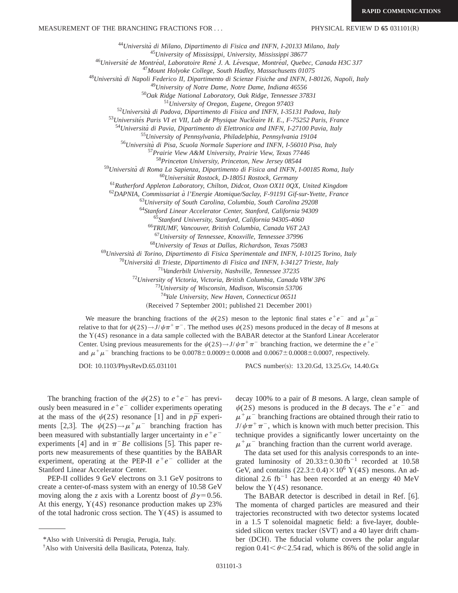MEASUREMENT OF THE BRANCHING FRACTIONS FOR ... PHYSICAL REVIEW D 65 031101(R)

<sup>44</sup>*Universita` di Milano, Dipartimento di Fisica and INFN, I-20133 Milano, Italy*

<sup>45</sup>*University of Mississippi, University, Mississippi 38677*

<sup>46</sup>*Universite´ de Montre´al, Laboratoire Rene´ J. A. Le´vesque, Montre´al, Quebec, Canada H3C 3J7*

<sup>47</sup>*Mount Holyoke College, South Hadley, Massachusetts 01075*

<sup>48</sup>*Universita` di Napoli Federico II, Dipartimento di Scienze Fisiche and INFN, I-80126, Napoli, Italy*

<sup>49</sup>*University of Notre Dame, Notre Dame, Indiana 46556*

<sup>50</sup>*Oak Ridge National Laboratory, Oak Ridge, Tennessee 37831*

<sup>51</sup>*University of Oregon, Eugene, Oregon 97403*

<sup>52</sup>*Universita` di Padova, Dipartimento di Fisica and INFN, I-35131 Padova, Italy*

<sup>53</sup>Universités Paris VI et VII, Lab de Physique Nucléaire H. E., F-75252 Paris, France

<sup>54</sup>*Universita` di Pavia, Dipartimento di Elettronica and INFN, I-27100 Pavia, Italy*

<sup>55</sup>*University of Pennsylvania, Philadelphia, Pennsylvania 19104*

<sup>56</sup>*Universita` di Pisa, Scuola Normale Superiore and INFN, I-56010 Pisa, Italy*

<sup>57</sup>*Prairie View A&M University, Prairie View, Texas 77446*

<sup>58</sup>*Princeton University, Princeton, New Jersey 08544*

<sup>59</sup>*Universita` di Roma La Sapienza, Dipartimento di Fisica and INFN, I-00185 Roma, Italy*

<sup>60</sup>*Universita¨t Rostock, D-18051 Rostock, Germany*

<sup>61</sup>*Rutherford Appleton Laboratory, Chilton, Didcot, Oxon OX11 0QX, United Kingdom*

<sup>62</sup>*DAPNIA, Commissariat a` l'Energie Atomique/Saclay, F-91191 Gif-sur-Yvette, France*

<sup>63</sup>*University of South Carolina, Columbia, South Carolina 29208*

<sup>64</sup>*Stanford Linear Accelerator Center, Stanford, California 94309*

<sup>65</sup>*Stanford University, Stanford, California 94305-4060*

<sup>66</sup>*TRIUMF, Vancouver, British Columbia, Canada V6T 2A3*

<sup>67</sup>*University of Tennessee, Knoxville, Tennessee 37996*

<sup>68</sup>*University of Texas at Dallas, Richardson, Texas 75083*

<sup>69</sup>*Universita` di Torino, Dipartimento di Fisica Sperimentale and INFN, I-10125 Torino, Italy*

<sup>70</sup>*Universita` di Trieste, Dipartimento di Fisica and INFN, I-34127 Trieste, Italy*

<sup>71</sup>*Vanderbilt University, Nashville, Tennessee 37235*

<sup>72</sup>*University of Victoria, Victoria, British Columbia, Canada V8W 3P6*

<sup>73</sup>*University of Wisconsin, Madison, Wisconsin 53706*

<sup>74</sup>*Yale University, New Haven, Connecticut 06511*

(Received 7 September 2001; published 21 December 2001)

We measure the branching fractions of the  $\psi(2S)$  meson to the leptonic final states  $e^+e^-$  and  $\mu^+\mu^$ relative to that for  $\psi(2S) \rightarrow J/\psi \pi^+ \pi^-$ . The method uses  $\psi(2S)$  mesons produced in the decay of *B* mesons at the Y(4*S*) resonance in a data sample collected with the BABAR detector at the Stanford Linear Accelerator Center. Using previous measurements for the  $\psi(2S) \rightarrow J/\psi \pi^+ \pi^-$  branching fraction, we determine the  $e^+e^$ and  $\mu^+ \mu^-$  branching fractions to be  $0.0078 \pm 0.0009 \pm 0.0008$  and  $0.0067 \pm 0.0008 \pm 0.0007$ , respectively.

DOI: 10.1103/PhysRevD.65.031101 PACS number(s): 13.20.Gd, 13.25.Gv, 14.40.Gx

The branching fraction of the  $\psi(2S)$  to  $e^+e^-$  has previously been measured in  $e^+e^-$  collider experiments operating at the mass of the  $\psi(2S)$  resonance [1] and in  $p\bar{p}$  experiments [2,3]. The  $\psi(2S) \rightarrow \mu^+ \mu^-$  branching fraction has been measured with substantially larger uncertainty in  $e^+e^$ experiments  $[4]$  and in  $\pi$ <sup>-</sup>Be collisions [5]. This paper reports new measurements of these quantities by the BABAR experiment, operating at the PEP-II  $e^+e^-$  collider at the Stanford Linear Accelerator Center.

PEP-II collides 9 GeV electrons on 3.1 GeV positrons to create a center-of-mass system with an energy of 10.58 GeV moving along the *z* axis with a Lorentz boost of  $\beta\gamma=0.56$ . At this energy, Y(4*S*) resonance production makes up 23% of the total hadronic cross section. The  $Y(4S)$  is assumed to decay 100% to a pair of *B* mesons. A large, clean sample of  $\psi(2S)$  mesons is produced in the *B* decays. The  $e^+e^-$  and  $\mu^+\mu^-$  branching fractions are obtained through their ratio to  $J/\psi \pi^+ \pi^-$ , which is known with much better precision. This technique provides a significantly lower uncertainty on the  $\mu^+ \mu^-$  branching fraction than the current world average.

The data set used for this analysis corresponds to an integrated luminosity of  $20.33 \pm 0.30$  fb<sup>-1</sup> recorded at 10.58 GeV, and contains  $(22.3\pm0.4)\times10^6$  Y(4*S*) mesons. An additional 2.6 fb<sup>-1</sup> has been recorded at an energy 40 MeV below the  $Y(4S)$  resonance.

The BABAR detector is described in detail in Ref. [6]. The momenta of charged particles are measured and their trajectories reconstructed with two detector systems located in a 1.5 T solenoidal magnetic field: a five-layer, doublesided silicon vertex tracker  $(SVT)$  and a 40 layer drift chamber (DCH). The fiducial volume covers the polar angular region  $0.41<\theta<2.54$  rad, which is 86% of the solid angle in

<sup>\*</sup>Also with Universita` di Perugia, Perugia, Italy.

<sup>†</sup> Also with Universita` della Basilicata, Potenza, Italy.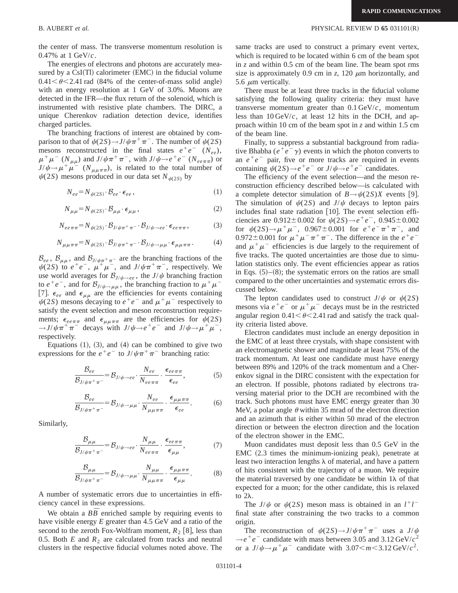the center of mass. The transverse momentum resolution is 0.47% at 1 GeV/*c*.

The energies of electrons and photons are accurately measured by a  $CsI(Tl)$  calorimeter  $(EMC)$  in the fiducial volume  $0.41<\theta<2.41$  rad (84% of the center-of-mass solid angle) with an energy resolution at 1 GeV of 3.0%. Muons are detected in the IFR—the flux return of the solenoid, which is instrumented with resistive plate chambers. The DIRC, a unique Cherenkov radiation detection device, identifies charged particles.

The branching fractions of interest are obtained by comparison to that of  $\psi(2S) \rightarrow J/\psi \pi^+ \pi^-$ . The number of  $\psi(2S)$ mesons reconstructed in the final states  $e^+e^-$  ( $N_{ee}$ ),  $\mu^+\mu^-(N_{\mu\mu})$  and  $J/\psi\pi^+\pi^-$ , with  $J/\psi\rightarrow e^+e^-$  ( $N_{ee\pi\pi}$ ) or  $J/\psi \rightarrow \mu^+\mu^-$  ( $N_{\mu\mu\pi\pi}$ ), is related to the total number of  $\psi(2S)$  mesons produced in our data set  $N_{\psi(2S)}$  by

$$
N_{ee} = N_{\psi(2S)} \cdot \mathcal{B}_{ee} \cdot \epsilon_{ee} \,, \tag{1}
$$

$$
N_{\mu\mu} = N_{\psi(2S)} \cdot \mathcal{B}_{\mu\mu} \cdot \epsilon_{\mu\mu} \,, \tag{2}
$$

$$
N_{ee\pi\pi} = N_{\psi(2S)} \cdot \mathcal{B}_{J/\psi\pi^+\pi^-} \cdot \mathcal{B}_{J/\psi \to ee} \cdot \epsilon_{ee\pi\pi},\tag{3}
$$

$$
N_{\mu\mu\pi\pi} = N_{\psi(2S)} \cdot \mathcal{B}_{J/\psi\pi^+\pi^-} \cdot \mathcal{B}_{J/\psi \to \mu\mu} \cdot \epsilon_{\mu\mu\pi\pi}.
$$
 (4)

 $\mathcal{B}_{ee}$ ,  $\mathcal{B}_{\mu\mu}$ , and  $\mathcal{B}_{J/\psi\pi^+\pi^-}$  are the branching fractions of the  $\psi(2S)$  to  $e^+e^-$ ,  $\mu^+\mu^-$ , and  $J/\psi\pi^+\pi^-$ , respectively. We use world averages for  $\mathcal{B}_{J/\psi \to ee}$ , the  $J/\psi$  branching fraction to  $e^+e^-$ , and for  $\mathcal{B}_{J/\psi \to \mu\mu}$ , the branching fraction to  $\mu^+\mu^-$ [7].  $\epsilon_{ee}$  and  $\epsilon_{\mu\mu}$  are the efficiencies for events containing  $\psi(2S)$  mesons decaying to  $e^+e^-$  and  $\mu^+\mu^-$  respectively to satisfy the event selection and meson reconstruction requirements;  $\epsilon_{ee\pi\pi}$  and  $\epsilon_{\mu\mu\pi\pi}$  are the efficiencies for  $\psi(2S)$  $\rightarrow$ *J*/ $\psi \pi^{+} \pi^{-}$  decays with *J*/ $\psi \rightarrow e^{+} e^{-}$  and *J*/ $\psi \rightarrow \mu^{+} \mu^{-}$ , respectively.

Equations  $(1)$ ,  $(3)$ , and  $(4)$  can be combined to give two expressions for the  $e^+e^-$  to  $J/\psi \pi^+ \pi^-$  branching ratio:

$$
\frac{\mathcal{B}_{ee}}{\mathcal{B}_{J/\psi\pi^+\pi^-}} = \mathcal{B}_{J/\psi \to ee} \cdot \frac{N_{ee}}{N_{ee\pi\pi}} \cdot \frac{\epsilon_{ee\pi\pi}}{\epsilon_{ee}},
$$
(5)

$$
\frac{\mathcal{B}_{ee}}{\mathcal{B}_{J/\psi\pi^+\pi^-}} = \mathcal{B}_{J/\psi \to \mu\mu} \cdot \frac{N_{ee}}{N_{\mu\mu\pi\pi}} \cdot \frac{\epsilon_{\mu\mu\pi\pi}}{\epsilon_{ee}}.
$$
 (6)

Similarly,

$$
\frac{\mathcal{B}_{\mu\mu}}{\mathcal{B}_{J/\psi\pi^+\pi^-}} = \mathcal{B}_{J/\psi \to ee} \cdot \frac{N_{\mu\mu}}{N_{ee\pi\pi}} \cdot \frac{\epsilon_{ee\pi\pi}}{\epsilon_{\mu\mu}},\tag{7}
$$

$$
\frac{\mathcal{B}_{\mu\mu}}{\mathcal{B}_{J/\psi\pi^+\pi^-}} = \mathcal{B}_{J/\psi \to \mu\mu} \cdot \frac{N_{\mu\mu}}{N_{\mu\mu\pi\pi}} \cdot \frac{\epsilon_{\mu\mu\pi\pi}}{\epsilon_{\mu\mu}}.\tag{8}
$$

A number of systematic errors due to uncertainties in efficiency cancel in these expressions.

We obtain a  $B\overline{B}$  enriched sample by requiring events to have visible energy *E* greater than 4.5 GeV and a ratio of the second to the zeroth Fox-Wolfram moment,  $R_2$  [8], less than 0.5. Both  $E$  and  $R_2$  are calculated from tracks and neutral clusters in the respective fiducial volumes noted above. The

## B. AUBERT *et al.* PHYSICAL REVIEW D **65** 031101(R)

same tracks are used to construct a primary event vertex, which is required to be located within 6 cm of the beam spot in *z* and within 0.5 cm of the beam line. The beam spot rms size is approximately 0.9 cm in  $z$ , 120  $\mu$ m horizontally, and 5.6  $\mu$ m vertically.

There must be at least three tracks in the fiducial volume satisfying the following quality criteria: they must have transverse momentum greater than 0.1 GeV/*c*, momentum less than 10 GeV/*c*, at least 12 hits in the DCH, and approach within 10 cm of the beam spot in *z* and within 1.5 cm of the beam line.

Finally, to suppress a substantial background from radiative Bhabha ( $e^+e^-\gamma$ ) events in which the photon converts to an  $e^+e^-$  pair, five or more tracks are required in events containing  $\psi(2S) \rightarrow e^+e^-$  or  $J/\psi \rightarrow e^+e^-$  candidates.

The efficiency of the event selection—and the meson reconstruction efficiency described below—is calculated with a complete detector simulation of  $B \rightarrow \psi(2S)X$  events [9]. The simulation of  $\psi(2S)$  and  $J/\psi$  decays to lepton pairs includes final state radiation  $[10]$ . The event selection efficiencies are  $0.912 \pm 0.002$  for  $\psi(2S) \rightarrow e^+e^-$ ,  $0.945 \pm 0.002$ for  $\psi(2S) \rightarrow \mu^+ \mu^-$ , 0.967±0.001 for  $e^+e^-\pi^+\pi^-$ , and 0.972 $\pm$ 0.001 for  $\mu^+\mu^-\pi^+\pi^-$ . The difference in the  $e^+e^$ and  $\mu^+\mu^-$  efficiencies is due largely to the requirement of five tracks. The quoted uncertainties are those due to simulation statistics only. The event efficiencies appear as ratios in Eqs.  $(5)$ – $(8)$ ; the systematic errors on the ratios are small compared to the other uncertainties and systematic errors discussed below.

The lepton candidates used to construct  $J/\psi$  or  $\psi(2S)$ mesons via  $e^+e^-$  or  $\mu^+\mu^-$  decays must be in the restricted angular region  $0.41<\theta<2.41$  rad and satisfy the track quality criteria listed above.

Electron candidates must include an energy deposition in the EMC of at least three crystals, with shape consistent with an electromagnetic shower and magnitude at least 75% of the track momentum. At least one candidate must have energy between 89% and 120% of the track momentum and a Cherenkov signal in the DIRC consistent with the expectation for an electron. If possible, photons radiated by electrons traversing material prior to the DCH are recombined with the track. Such photons must have EMC energy greater than 30 MeV, a polar angle  $\theta$  within 35 mrad of the electron direction and an azimuth that is either within 50 mrad of the electron direction or between the electron direction and the location of the electron shower in the EMC.

Muon candidates must deposit less than 0.5 GeV in the  $EMC$   $(2.3$  times the minimum-ionizing peak), penetrate at least two interaction lengths  $\lambda$  of material, and have a pattern of hits consistent with the trajectory of a muon. We require the material traversed by one candidate be within  $1\lambda$  of that expected for a muon; for the other candidate, this is relaxed to  $2\lambda$ .

The  $J/\psi$  or  $\psi(2S)$  meson mass is obtained in an  $l^+l^$ final state after constraining the two tracks to a common origin.

The reconstruction of  $\psi(2S) \rightarrow J/\psi \pi^+ \pi^-$  uses a  $J/\psi$  $\rightarrow e^+e^-$  candidate with mass between 3.05 and 3.12 GeV/ $c^2$ or a  $J/\psi \rightarrow \mu^+ \mu^-$  candidate with  $3.07 \le m \le 3.12$  GeV/ $c^2$ .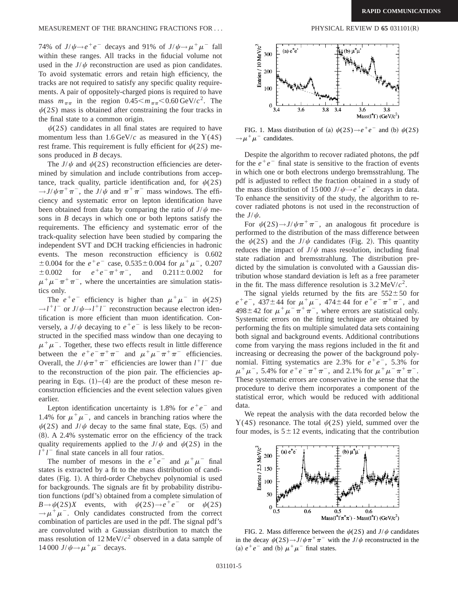## MEASUREMENT OF THE BRANCHING FRACTIONS FOR ... PHYSICAL REVIEW D 65 031101(R)

74% of  $J/\psi \rightarrow e^+e^-$  decays and 91% of  $J/\psi \rightarrow \mu^+\mu^-$  fall within these ranges. All tracks in the fiducial volume not used in the  $J/\psi$  reconstruction are used as pion candidates. To avoid systematic errors and retain high efficiency, the tracks are not required to satisfy any specific quality requirements. A pair of oppositely-charged pions is required to have mass  $m_{\pi\pi}$  in the region  $0.45 \le m_{\pi\pi} \le 0.60$  GeV/ $c^2$ . The  $\psi(2S)$  mass is obtained after constraining the four tracks in the final state to a common origin.

 $\psi(2S)$  candidates in all final states are required to have momentum less than  $1.6 \text{ GeV}/c$  as measured in the  $Y(4S)$ rest frame. This requirement is fully efficient for  $\psi(2S)$  mesons produced in *B* decays.

The  $J/\psi$  and  $\psi(2S)$  reconstruction efficiencies are determined by simulation and include contributions from acceptance, track quality, particle identification and, for  $\psi(2S)$  $\rightarrow$ *J/* $\psi \pi^{+} \pi^{-}$ *, the J/* $\psi$  *and*  $\pi^{+} \pi^{-}$  mass windows. The efficiency and systematic error on lepton identification have been obtained from data by comparing the ratio of  $J/\psi$  mesons in *B* decays in which one or both leptons satisfy the requirements. The efficiency and systematic error of the track-quality selection have been studied by comparing the independent SVT and DCH tracking efficiencies in hadronic events. The meson reconstruction efficiency is 0.602  $\pm$  0.004 for the *e*<sup>+</sup>*e*<sup>-</sup> case, 0.535 $\pm$ 0.004 for  $\mu$ <sup>+</sup> $\mu$ <sup>-</sup>, 0.207  $\pm 0.002$  for  $e^+e^-\pi^+\pi^-$ , and  $0.211\pm 0.002$  for  $\mu^+\mu^-\pi^+\pi^-$ , where the uncertainties are simulation statistics only.

The  $e^+e^-$  efficiency is higher than  $\mu^+\mu^-$  in  $\psi(2S)$  $\rightarrow$ *l*<sup>+</sup>*l*<sup>-</sup> or *J*/ $\psi$  $\rightarrow$ *l*<sup>+</sup>*l*<sup>-</sup> reconstruction because electron identification is more efficient than muon identification. Conversely, a  $J/\psi$  decaying to  $e^+e^-$  is less likely to be reconstructed in the specified mass window than one decaying to  $\mu^+\mu^-$ . Together, these two effects result in little difference between the  $e^+e^-\pi^+\pi^-$  and  $\mu^+\mu^-\pi^+\pi^-$  efficiencies. Overall, the  $J/\psi \pi^+ \pi^-$  efficiencies are lower than  $l^+l^-$  due to the reconstruction of the pion pair. The efficiencies appearing in Eqs.  $(1)$ – $(4)$  are the product of these meson reconstruction efficiencies and the event selection values given earlier.

Lepton identification uncertainty is 1.8% for  $e^+e^-$  and 1.4% for  $\mu^+\mu^-$ , and cancels in branching ratios where the  $\psi(2S)$  and *J*/ $\psi$  decay to the same final state, Eqs. (5) and  $(8)$ . A 2.4% systematic error on the efficiency of the track quality requirements applied to the  $J/\psi$  and  $\psi(2S)$  in the  $l^+l^-$  final state cancels in all four ratios.

The number of mesons in the  $e^+e^-$  and  $\mu^+\mu^-$  final states is extracted by a fit to the mass distribution of candidates (Fig. 1). A third-order Chebychev polynomial is used for backgrounds. The signals are fit by probability distribution functions (pdf's) obtained from a complete simulation of  $B \rightarrow \psi(2S)X$  events, with  $\psi(2S) \rightarrow e^+e^-$  or  $\psi(2S)$  $\rightarrow \mu^+\mu^-$ . Only candidates constructed from the correct combination of particles are used in the pdf. The signal pdf's are convoluted with a Gaussian distribution to match the mass resolution of  $12 \text{ MeV}/c^2$  observed in a data sample of 14 000 *J*/ $\psi \rightarrow \mu^+ \mu^-$  decays.



FIG. 1. Mass distribution of (a)  $\psi(2S) \rightarrow e^+e^-$  and (b)  $\psi(2S)$  $\rightarrow \mu^+\mu^-$  candidates.

Despite the algorithm to recover radiated photons, the pdf for the  $e^+e^-$  final state is sensitive to the fraction of events in which one or both electrons undergo bremsstrahlung. The pdf is adjusted to reflect the fraction obtained in a study of the mass distribution of 15 000 *J*/ $\psi \rightarrow e^+e^-$  decays in data. To enhance the sensitivity of the study, the algorithm to recover radiated photons is not used in the reconstruction of the  $J/\psi$ .

For  $\psi(2S) \rightarrow J/\psi \pi^+ \pi^-$ , an analogous fit procedure is performed to the distribution of the mass difference between the  $\psi(2S)$  and the *J*/ $\psi$  candidates (Fig. 2). This quantity reduces the impact of  $J/\psi$  mass resolution, including final state radiation and bremsstrahlung. The distribution predicted by the simulation is convoluted with a Gaussian distribution whose standard deviation is left as a free parameter in the fit. The mass difference resolution is  $3.2 \text{ MeV}/c^2$ .

The signal yields returned by the fits are  $552 \pm 50$  for  $e^+e^-$ , 437±44 for  $\mu^+\mu^-$ , 474±44 for  $e^+e^-\pi^+\pi^-$ , and  $498\pm42$  for  $\mu^+\mu^-\pi^+\pi^-$ , where errors are statistical only. Systematic errors on the fitting technique are obtained by performing the fits on multiple simulated data sets containing both signal and background events. Additional contributions come from varying the mass regions included in the fit and increasing or decreasing the power of the background polynomial. Fitting systematics are 2.3% for  $e^+e^-$ , 5.3% for  $\mu^+\mu^-$ , 5.4% for  $e^+e^-\pi^+\pi^-$ , and 2.1% for  $\mu^+\mu^-\pi^+\pi^-$ . These systematic errors are conservative in the sense that the procedure to derive them incorporates a component of the statistical error, which would be reduced with additional data.

We repeat the analysis with the data recorded below the  $Y(4S)$  resonance. The total  $\psi(2S)$  yield, summed over the four modes, is  $5 \pm 12$  events, indicating that the contribution



FIG. 2. Mass difference between the  $\psi(2S)$  and  $J/\psi$  candidates in the decay  $\psi(2S) \rightarrow J/\psi \pi^+ \pi^-$  with the *J*/ $\psi$  reconstructed in the (a)  $e^+e^-$  and (b)  $\mu^+\mu^-$  final states.